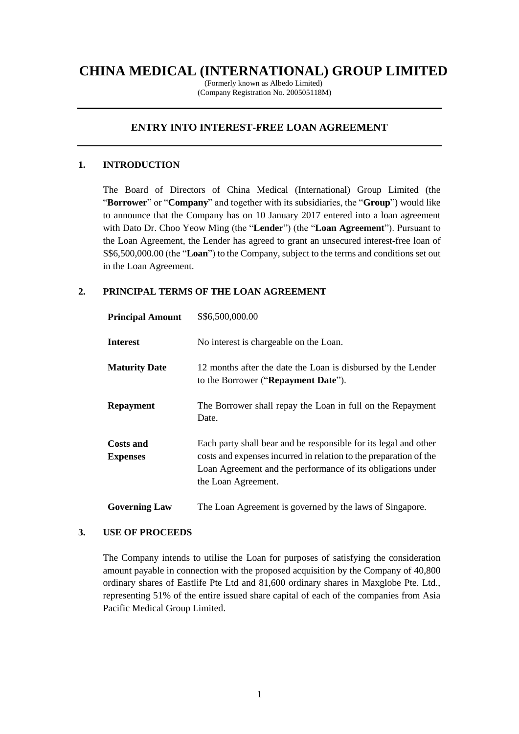# **CHINA MEDICAL (INTERNATIONAL) GROUP LIMITED**

(Formerly known as Albedo Limited) (Company Registration No. 200505118M)

# **ENTRY INTO INTEREST-FREE LOAN AGREEMENT**

### **1. INTRODUCTION**

The Board of Directors of China Medical (International) Group Limited (the "**Borrower**" or "**Company**" and together with its subsidiaries, the "**Group**") would like to announce that the Company has on 10 January 2017 entered into a loan agreement with Dato Dr. Choo Yeow Ming (the "**Lender**") (the "**Loan Agreement**"). Pursuant to the Loan Agreement, the Lender has agreed to grant an unsecured interest-free loan of S\$6,500,000.00 (the "**Loan**") to the Company, subject to the terms and conditions set out in the Loan Agreement.

## **2. PRINCIPAL TERMS OF THE LOAN AGREEMENT**

| <b>Principal Amount</b>             | S\$6,500,000.00                                                                                                                                                                                                             |
|-------------------------------------|-----------------------------------------------------------------------------------------------------------------------------------------------------------------------------------------------------------------------------|
| <b>Interest</b>                     | No interest is chargeable on the Loan.                                                                                                                                                                                      |
| <b>Maturity Date</b>                | 12 months after the date the Loan is disbursed by the Lender<br>to the Borrower ("Repayment Date").                                                                                                                         |
| <b>Repayment</b>                    | The Borrower shall repay the Loan in full on the Repayment<br>Date.                                                                                                                                                         |
| <b>Costs and</b><br><b>Expenses</b> | Each party shall bear and be responsible for its legal and other<br>costs and expenses incurred in relation to the preparation of the<br>Loan Agreement and the performance of its obligations under<br>the Loan Agreement. |
| <b>Governing Law</b>                | The Loan Agreement is governed by the laws of Singapore.                                                                                                                                                                    |

#### **3. USE OF PROCEEDS**

The Company intends to utilise the Loan for purposes of satisfying the consideration amount payable in connection with the proposed acquisition by the Company of 40,800 ordinary shares of Eastlife Pte Ltd and 81,600 ordinary shares in Maxglobe Pte. Ltd., representing 51% of the entire issued share capital of each of the companies from Asia Pacific Medical Group Limited.